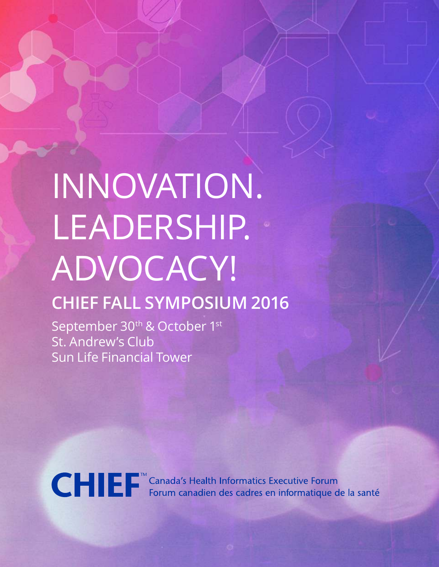# INNOVATION. LEADERSHIP. ADVOCACY!

## **CHIEF FALL SYMPOSIUM 2016**

September 30<sup>th</sup> & October 1st St. Andrew's Club Sun Life Financial Tower



CHIE F<sup>™</sup> Canada's Health Informatics Executive Forum<br>Forum canadien des cadres en informatique de la santé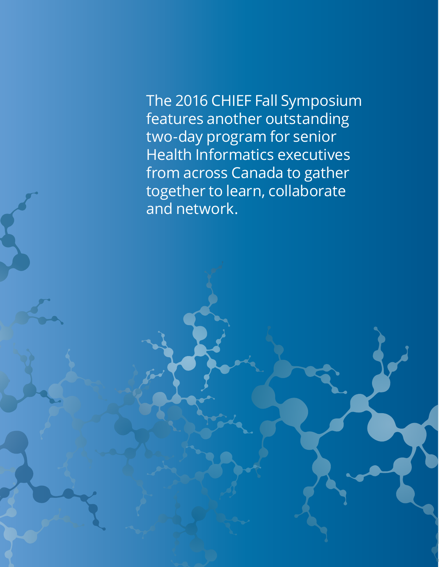The 2016 CHIEF Fall Symposium features another outstanding two-day program for senior Health Informatics executives from across Canada to gather together to learn, collaborate and network.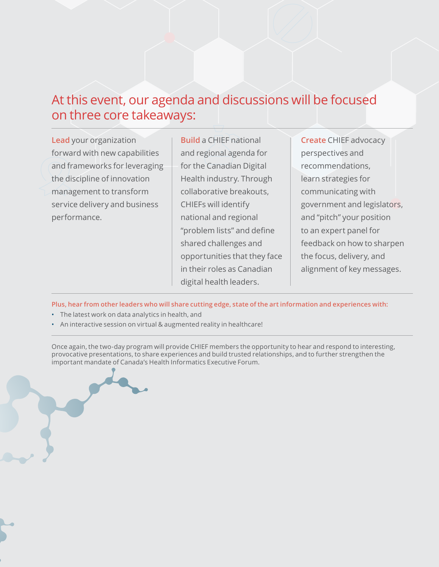## At this event, our agenda and discussions will be focused on three core takeaways:

**Lead** your organization forward with new capabilities and frameworks for leveraging the discipline of innovation management to transform service delivery and business performance.

**Build** a CHIEF national and regional agenda for for the Canadian Digital Health industry. Through collaborative breakouts, CHIEFs will identify national and regional "problem lists" and define shared challenges and opportunities that they face in their roles as Canadian digital health leaders.

**Create** CHIEF advocacy perspectives and recommendations, learn strategies for communicating with government and legislators, and "pitch" your position to an expert panel for feedback on how to sharpen the focus, delivery, and alignment of key messages.

**Plus, hear from other leaders who will share cutting edge, state of the art information and experiences with:** 

- The latest work on data analytics in health, and
- An interactive session on virtual & augmented reality in healthcare!

Once again, the two-day program will provide CHIEF members the opportunity to hear and respond to interesting, provocative presentations, to share experiences and build trusted relationships, and to further strengthen the important mandate of Canada's Health Informatics Executive Forum.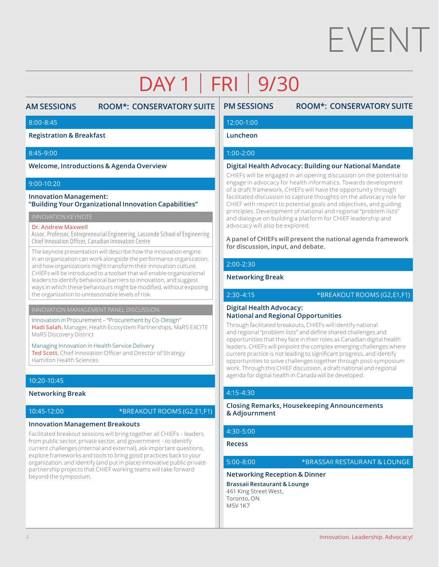# EVENT

## DAY 1 | FRI | 9/30

## **AM SESSIONS ROOM\*: CONSERVATORY SUITE**

#### 8:00-8:45

**Registration & Breakfast**

#### 8:45-9:00

**Welcome, Introductions & Agenda Overview**

#### 9:00-10:20

#### **Innovation Management: "Building Your Organizational Innovation Capabilities"**

INNOVATION KEYNOTE

#### **Dr. Andrew Maxwell**

Assoc. Professor, Entrepreneurial Engineering, Lassonde School of Engineering Chief Innovation Officer, Canadian Innovation Centre

The keynote presentation will describe how the innovation engine in an organization can work alongside the performance organization, and how organizations might transform their innovation culture. CHIEFs will be introduced to a toolset that will enable organizational leaders to identify behavioral barriers to innovation, and suggest ways in which these behaviours might be modified, without exposing the organization to unreasonable levels of risk.

#### Innovation in Procurement – "Procurement by Co-Design" **Hadi Salah**, Manager, Health Ecosystem Partnerships, MaRS EXCITE MaRS Discovery District

Managing Innovation in Health Service Delivery

Ted Scott, Chief Innovation Officer and Director of Strategy Hamilton Health Sciences

#### 10:20-10:45

#### **Networking Break**

10:45-12:00 \*BREAKOUT ROOMS (G2,E1,F1)

#### **Innovation Management Breakouts**

Facilitated breakout sessions will bring together all CHIEFs – leaders from public sector, private sector, and government – to identify current challenges (internal and external), ask important questions, explore frameworks and tools to bring good practices back to your organization, and identify (and put in place) innovative public-privatepartnership projects that CHIEF working teams will take forward beyond the symposium.

### **PM SESSIONS ROOM\*: CONSERVATORY SUITE**

#### 12:00-1:00

#### **Luncheon**

#### 1:00-2:00

#### **Digital Health Advocacy: Building our National Mandate**

CHIEFs will be engaged in an opening discussion on the potential to engage in advocacy for health informatics. Towards development of a draft framework, CHIEFs will have the opportunity through facilitated discussion to capture thoughts on the advocacy role for CHIEF with respect to potential goals and objectives, and guiding principles. Development of national and regional "problem lists" and dialogue on building a platform for CHIEF leadership and advocacy will also be explored.

**A panel of CHIEFs will present the national agenda framework for discussion, input, and debate.**

#### 2:00-2:30

#### **Networking Break**

2:30-4:15 \*BREAKOUT ROOMS (G2,E1,F1)

#### **Digital Health Advocacy: National and Regional Opportunities**

Through facilitated breakouts, CHIEFs will identify national and regional "problem lists" and define shared challenges and opportunities that they face in their roles as Canadian digital health leaders. CHIEFs will pinpoint the complex emerging challenges where current practice is not leading to significant progress, and identify opportunities to solve challenges together through post-symposium work. Through this CHIEF discussion, a draft national and regional agenda for digital health in Canada will be developed.

#### 4:15-4:30

#### **Closing Remarks, Housekeeping Announcements & Adjournment**

#### 4:30-5:00

**Recess**

#### 5:00-8:00 \*BRASSAII RESTAURANT & LOUNGE

#### **Networking Reception & Dinner**

**Brassaii Restaurant & Lounge** 461 King Street West, Toronto, ON M5V 1K7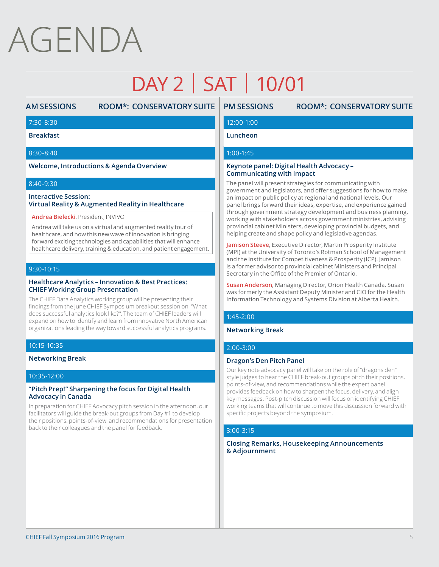## AGENDA

## DAY 2 | SAT | 10/01

## **AM SESSIONS ROOM\*: CONSERVATORY SUITE**

## **PM SESSIONS ROOM\*: CONSERVATORY SUITE**

#### 7:30-8:30

**Breakfast**

#### 8:30-8:40

**Welcome, Introductions & Agenda Overview**

#### 8:40-9:30

#### **Interactive Session: Virtual Reality & Augmented Reality in Healthcare**

**Andrea Bielecki**, President, INVIVO

Andrea will take us on a virtual and augmented reality tour of healthcare, and how this new wave of innovation is bringing forward exciting technologies and capabilities that will enhance healthcare delivery, training & education, and patient engagement.

#### 9:30-10:15

#### **Healthcare Analytics – Innovation & Best Practices: CHIEF Working Group Presentation**

The CHIEF Data Analytics working group will be presenting their indings from the June CHIEF Symposium breakout session on, "What does successful analytics look like?". The team of CHIEF leaders will expand on how to identify and learn from innovative North American organizations leading the way toward successful analytics programs.

#### 10:15-10:35

**Networking Break**

#### 10:35-12:00

#### **"Pitch Prep!" Sharpening the focus for Digital Health Advocacy in Canada**

In preparation for CHIEF Advocacy pitch session in the afternoon, our facilitators will guide the break-out groups from Day #1 to develop their positions, points-of-view, and recommendations for presentation back to their colleagues and the panel for feedback.

#### 12:00-1:00

#### **Luncheon**

#### 1:00-1:45

#### **Keynote panel: Digital Health Advocacy – Communicating with Impact**

The panel will present strategies for communicating with government and legislators, and offer suggestions for how to make an impact on public policy at regional and national levels. Our panel brings forward their ideas, expertise, and experience gained through government strategy development and business planning, working with stakeholders across government ministries, advising provincial cabinet Ministers, developing provincial budgets, and helping create and shape policy and legislative agendas.

**Jamison Steeve**, Executive Director, Martin Prosperity Institute (MPI) at the University of Toronto's Rotman School of Management and the Institute for Competitiveness & Prosperity (ICP). Jamison is a former advisor to provincial cabinet Ministers and Principal Secretary in the Office of the Premier of Ontario.

**Susan Anderson**, Managing Director, Orion Health Canada. Susan was formerly the Assistant Deputy Minister and CIO for the Health Information Technology and Systems Division at Alberta Health.

#### 1:45-2:00

#### **Networking Break**

#### 2:00-3:00

#### **Dragon's Den Pitch Panel**

Our key note advocacy panel will take on the role of "dragons den" style judges to hear the CHIEF break-out groups pitch their positions, points-of-view, and recommendations while the expert panel provides feedback on how to sharpen the focus, delivery, and align key messages. Post-pitch discussion will focus on identifying CHIEF working teams that will continue to move this discussion forward with specific projects beyond the symposium.

#### 3:00-3:15

**Closing Remarks, Housekeeping Announcements & Adjournment**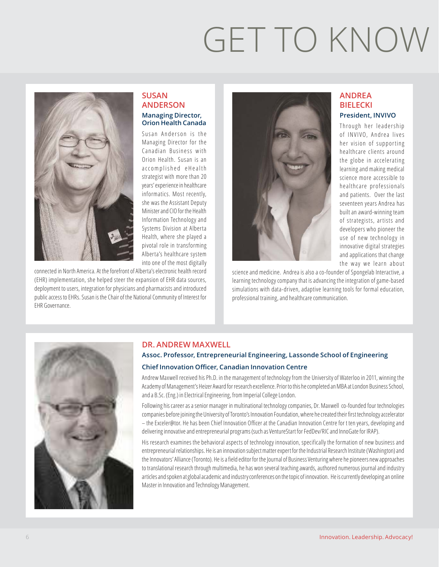# GET TO KNOW



#### **SUSAN ANDERSON Managing Director, Orion Health Canada**

Susan Anderson is the Managing Director for the Canadian Business with Orion Health. Susan is an accomplished eHealth strategist with more than 20 years' experience in healthcare informatics. Most recently, she was the Assistant Deputy Minister and CIO for the Health Information Technology and Systems Division at Alberta Health, where she played a pivotal role in transforming Alberta's healthcare system into one of the most digitally

connected in North America. At the forefront of Alberta's electronic health record (EHR) implementation, she helped steer the expansion of EHR data sources, deployment to users, integration for physicians and pharmacists and introduced public access to EHRs. Susan is the Chair of the National Community of Interest for EHR Governance.



science and medicine. Andrea is also a co-founder of Spongelab Interactive, a learning technology company that is advancing the integration of game-based simulations with data-driven, adaptive learning tools for formal education, professional training, and healthcare communication.

### **ANDREA BIELECKI President, INVIVO**

Through her leadership of INVIVO, Andrea lives her vision of supporting healthcare clients around the globe in accelerating learning and making medical science more accessible to healthcare professionals and patients. Over the last seventeen years Andrea has built an award-winning team of strategists, artists and developers who pioneer the use of new technology in innovative digital strategies and applications that change the way we learn about



#### **DR. ANDREW MAXWELL**

### **Assoc. Professor, Entrepreneurial Engineering, Lassonde School of Engineering Chief Innovation Officer, Canadian Innovation Centre**

Andrew Maxwell received his Ph.D. in the management of technology from the University of Waterloo in 2011, winning the Academy of Management's Heizer Award for research excellence. Prior to this he completed an MBA at London Business School, and a B.Sc. (Eng.) in Electrical Engineering, from Imperial College London.

Following his career as a senior manager in multinational technology companies, Dr. Maxwell co-founded four technologies companies before joining the University of Toronto's Innovation Foundation, where he created their irst technology accelerator – the Exceler@tor. He has been Chief Innovation Oicer at the Canadian Innovation Centre for t ten years, developing and delivering innovative and entrepreneurial programs (such as VentureStart for FedDev/RIC and InnoGate for IRAP).

His research examines the behavioral aspects of technology innovation, specifically the formation of new business and entrepreneurial relationships. He is an innovation subject matter expert for the Industrial Research Institute (Washington) and the Innovators' Alliance (Toronto). He is a ield editor for the Journal of Business Venturing where he pioneers new approaches to translational research through multimedia, he has won several teaching awards, authored numerous journal and industry articles and spoken at global academic and industry conferences on the topic of innovation. He is currently developing an online Master in Innovation and Technology Management.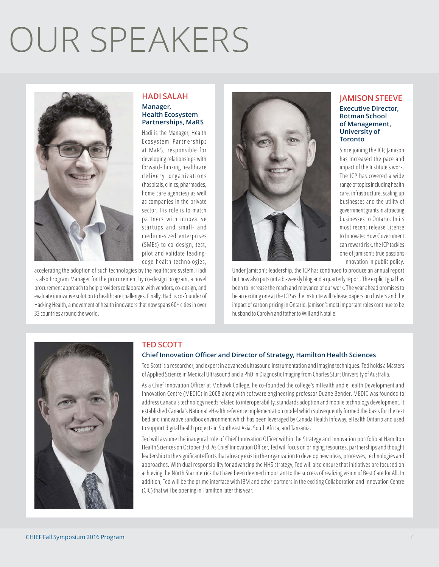# OUR SPEAKERS



#### **HADI SALAH Manager, Health Ecosystem Partnerships, MaRS**

Hadi is the Manager, Health Ecosystem Partnerships at MaRS, responsible for developing relationships with forward-thinking healthcare delivery organizations (hospitals, clinics, pharmacies, home care agencies) as well as companies in the private sector. His role is to match partners with innovative startups and small- and medium-sized enterprises (SMEs) to co-design, test, pilot and validate leadingedge health technologies,

accelerating the adoption of such technologies by the healthcare system. Hadi is also Program Manager for the procurement by co-design program, a novel procurement approach to help providers collaborate with vendors, co-design, and evaluate innovative solution to healthcare challenges. Finally, Hadi is co-founder of Hacking Health, a movement of health innovators that now spans 60+ cities in over 33 countries around the world.



Under Jamison's leadership, the ICP has continued to produce an annual report but now also puts out a bi-weekly blog and a quarterly report. The explicit goal has been to increase the reach and relevance of our work. The year ahead promises to be an exciting one at the ICP as the Institute will release papers on clusters and the impact of carbon pricing in Ontario. Jamison's most important roles continue to be husband to Carolyn and father to Will and Natalie.



### **TED SCOTT**

#### **Chief Innovation Officer and Director of Strategy, Hamilton Health Sciences**

Ted Scott is a researcher, and expert in advanced ultrasound instrumentation and imaging techniques. Ted holds a Masters of Applied Science in Medical Ultrasound and a PhD in Diagnostic Imaging from Charles Sturt University of Australia.

As a Chief Innovation Officer at Mohawk College, he co-founded the college's mHealth and eHealth Development and Innovation Centre (MEDIC) in 2008 along with software engineering professor Duane Bender. MEDIC was founded to address Canada's technology needs related to interoperability, standards adoption and mobile technology development. It established Canada's National eHealth reference implementation model which subsequently formed the basis for the test bed and innovative sandbox environment which has been leveraged by Canada Health Infoway, eHealth Ontario and used to support digital health projects in Southeast Asia, South Africa, and Tanzania.

Ted will assume the inaugural role of Chief Innovation Officer within the Strategy and Innovation portfolio at Hamilton Health Sciences on October 3rd. As Chief Innovation Officer, Ted will focus on bringing resources, partnerships and thought leadership to the significant efforts that already exist in the organization to develop new ideas, processes, technologies and approaches. With dual responsibility for advancing the HHS strategy, Ted will also ensure that initiatives are focused on achieving the North Star metrics that have been deemed important to the success of realizing vision of Best Care for All. In addition, Ted will be the prime interface with IBM and other partners in the exciting Collaboration and Innovation Centre (CIC) that will be opening in Hamilton later this year.

#### **JAMISON STEEVE Executive Director, Rotman School of Management,**

**University of Toronto** Since joining the ICP, Jamison

has increased the pace and impact of the Institute's work. The ICP has covered a wide range of topics including health care, infrastructure, scaling up businesses and the utility of government grants in attracting businesses to Ontario. In its most recent release License to Innovate: How Government can reward risk, the ICP tackles one of Jamison's true passions – innovation in public policy.